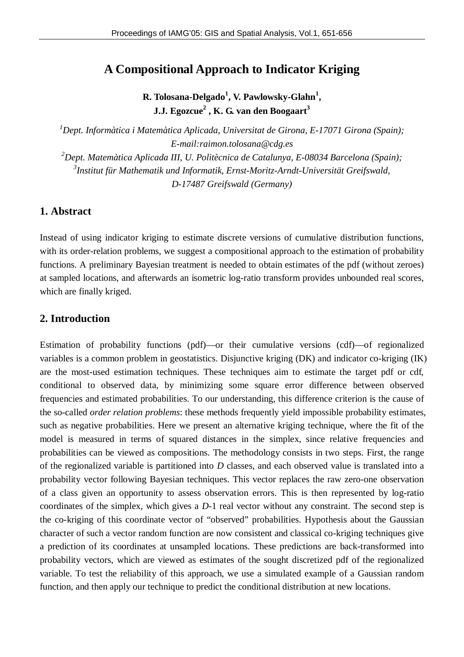# **A Compositional Approach to Indicator Kriging**

**R. Tolosana-Delgado<sup>1</sup> , V. Pawlowsky-Glahn<sup>1</sup> , J.J. Egozcue<sup>2</sup> , K. G. van den Boogaart<sup>3</sup>**

*<sup>1</sup>Dept. Informàtica i Matemàtica Aplicada, Universitat de Girona, E-17071 Girona (Spain); E-mail:raimon.tolosana@cdg.es <sup>2</sup>Dept. Matemàtica Aplicada III, U. Politècnica de Catalunya, E-08034 Barcelona (Spain); 3 Institut für Mathematik und Informatik, Ernst-Moritz-Arndt-Universität Greifswald, D-17487 Greifswald (Germany)*

# **1. Abstract**

Instead of using indicator kriging to estimate discrete versions of cumulative distribution functions, with its order-relation problems, we suggest a compositional approach to the estimation of probability functions. A preliminary Bayesian treatment is needed to obtain estimates of the pdf (without zeroes) at sampled locations, and afterwards an isometric log-ratio transform provides unbounded real scores, which are finally kriged.

# **2. Introduction**

Estimation of probability functions (pdf)—or their cumulative versions (cdf)—of regionalized variables is a common problem in geostatistics. Disjunctive kriging (DK) and indicator co-kriging (IK) are the most-used estimation techniques. These techniques aim to estimate the target pdf or cdf, conditional to observed data, by minimizing some square error difference between observed frequencies and estimated probabilities. To our understanding, this difference criterion is the cause of the so-called *order relation problems*: these methods frequently yield impossible probability estimates, such as negative probabilities. Here we present an alternative kriging technique, where the fit of the model is measured in terms of squared distances in the simplex, since relative frequencies and probabilities can be viewed as compositions. The methodology consists in two steps. First, the range of the regionalized variable is partitioned into *D* classes, and each observed value is translated into a probability vector following Bayesian techniques. This vector replaces the raw zero-one observation of a class given an opportunity to assess observation errors. This is then represented by log-ratio coordinates of the simplex, which gives a *D*-1 real vector without any constraint. The second step is the co-kriging of this coordinate vector of "observed" probabilities. Hypothesis about the Gaussian character of such a vector random function are now consistent and classical co-kriging techniques give a prediction of its coordinates at unsampled locations. These predictions are back-transformed into probability vectors, which are viewed as estimates of the sought discretized pdf of the regionalized variable. To test the reliability of this approach, we use a simulated example of a Gaussian random function, and then apply our technique to predict the conditional distribution at new locations.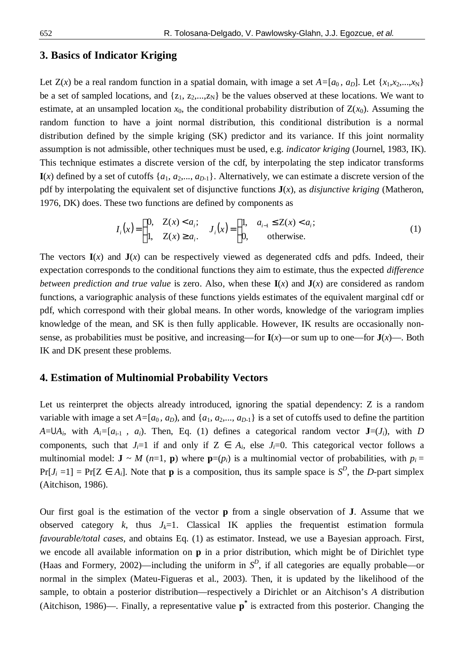#### **3. Basics of Indicator Kriging**

Let  $Z(x)$  be a real random function in a spatial domain, with image a set  $A=[a_0, a_0]$ . Let  $\{x_1, x_2, ..., x_N\}$ be a set of sampled locations, and  $\{z_1, z_2,...,z_N\}$  be the values observed at these locations. We want to estimate, at an unsampled location  $x_0$ , the conditional probability distribution of  $Z(x_0)$ . Assuming the random function to have a joint normal distribution, this conditional distribution is a normal distribution defined by the simple kriging (SK) predictor and its variance. If this joint normality assumption is not admissible, other techniques must be used, e.g. *indicator kriging* (Journel, 1983, IK). This technique estimates a discrete version of the cdf, by interpolating the step indicator transforms  $I(x)$  defined by a set of cutoffs  $\{a_1, a_2,..., a_{D-1}\}$ . Alternatively, we can estimate a discrete version of the pdf by interpolating the equivalent set of disjunctive functions **J**(*x*), as *disjunctive kriging* (Matheron, 1976, DK) does. These two functions are defined by components as

$$
I_i(x) = \begin{cases} 0, & Z(x) < a_i; \\ 1, & Z(x) \ge a_i. \end{cases} \quad J_i(x) = \begin{cases} 1, & a_{i-1} \le Z(x) < a_i; \\ 0, & \text{otherwise.} \end{cases}
$$
 (1)

The vectors  $I(x)$  and  $J(x)$  can be respectively viewed as degenerated cdfs and pdfs. Indeed, their expectation corresponds to the conditional functions they aim to estimate, thus the expected *difference between prediction and true value* is zero. Also, when these  $I(x)$  and  $J(x)$  are considered as random functions, a variographic analysis of these functions yields estimates of the equivalent marginal cdf or pdf, which correspond with their global means. In other words, knowledge of the variogram implies knowledge of the mean, and SK is then fully applicable. However, IK results are occasionally nonsense, as probabilities must be positive, and increasing—for  $I(x)$ —or sum up to one—for  $J(x)$ —. Both IK and DK present these problems.

### **4. Estimation of Multinomial Probability Vectors**

Let us reinterpret the objects already introduced, ignoring the spatial dependency: Z is a random variable with image a set  $A=[a_0, a_D)$ , and  $\{a_1, a_2,..., a_{D-1}\}$  is a set of cutoffs used to define the partition  $A = \bigcup A_i$ , with  $A_i = [a_{i-1}, a_i]$ . Then, Eq. (1) defines a categorical random vector **J**=(*J<sub>i</sub>*), with *D* components, such that  $J_i=1$  if and only if  $Z \in A_i$ , else  $J_i=0$ . This categorical vector follows a multinomial model: **J** ~ *M* (*n*=1, **p**) where  $\mathbf{p}=(p_i)$  is a multinomial vector of probabilities, with  $p_i =$  $Pr[J_i = 1] = Pr[Z \in A_i]$ . Note that **p** is a composition, thus its sample space is  $S^D$ , the *D*-part simplex (Aitchison, 1986).

Our first goal is the estimation of the vector **p** from a single observation of **J**. Assume that we observed category  $k$ , thus  $J_k=1$ . Classical IK applies the frequentist estimation formula *favourable/total cases*, and obtains Eq. (1) as estimator. Instead, we use a Bayesian approach. First, we encode all available information on **p** in a prior distribution, which might be of Dirichlet type (Haas and Formery, 2002)—including the uniform in  $S<sup>D</sup>$ , if all categories are equally probable—or normal in the simplex (Mateu-Figueras et al., 2003). Then, it is updated by the likelihood of the sample, to obtain a posterior distribution—respectively a Dirichlet or an Aitchison's *A* distribution (Aitchison, 1986)—. Finally, a representative value **p \*** is extracted from this posterior. Changing the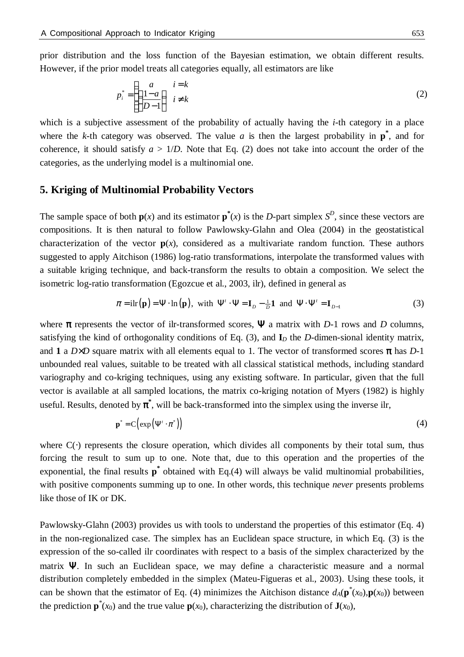prior distribution and the loss function of the Bayesian estimation, we obtain different results. However, if the prior model treats all categories equally, all estimators are like

$$
p_i^* = \begin{cases} \frac{a}{1-a} & i = k \\ \left(\frac{1-a}{D-1}\right) & i \neq k \end{cases} \tag{2}
$$

which is a subjective assessment of the probability of actually having the *i*-th category in a place where the *k*-th category was observed. The value *a* is then the largest probability in  $\mathbf{p}^*$ , and for coherence, it should satisfy  $a > 1/D$ . Note that Eq. (2) does not take into account the order of the categories, as the underlying model is a multinomial one.

#### **5. Kriging of Multinomial Probability Vectors**

The sample space of both  $p(x)$  and its estimator  $p^*(x)$  is the *D*-part simplex  $S^D$ , since these vectors are compositions. It is then natural to follow Pawlowsky-Glahn and Olea (2004) in the geostatistical characterization of the vector  $p(x)$ , considered as a multivariate random function. These authors suggested to apply Aitchison (1986) log-ratio transformations, interpolate the transformed values with a suitable kriging technique, and back-transform the results to obtain a composition. We select the isometric log-ratio transformation (Egozcue et al., 2003, ilr), defined in general as

$$
\pi = \text{i} \text{lr}(\mathbf{p}) = \Psi \cdot \text{ln}(\mathbf{p}), \text{ with } \Psi' \cdot \Psi = \mathbf{I}_D - \frac{1}{D} \mathbf{1} \text{ and } \Psi \cdot \Psi' = \mathbf{I}_{D-1}
$$
 (3)

where  $\pi$  represents the vector of ilr-transformed scores,  $\Psi$  a matrix with *D*-1 rows and *D* columns, satisfying the kind of orthogonality conditions of Eq. (3), and **I***D* the *D-*dimen-sional identity matrix, and **1** a  $D \times D$  square matrix with all elements equal to 1. The vector of transformed scores  $\pi$  has  $D$ -1 unbounded real values, suitable to be treated with all classical statistical methods, including standard variography and co-kriging techniques, using any existing software. In particular, given that the full vector is available at all sampled locations, the matrix co-kriging notation of Myers (1982) is highly useful. Results, denoted by  $\pi^*$ , will be back-transformed into the simplex using the inverse ilr,

$$
\mathbf{p}^* = C \left( \exp \left( \mathbf{\Psi}' \cdot \boldsymbol{\pi}^* \right) \right) \tag{4}
$$

where  $C(\cdot)$  represents the closure operation, which divides all components by their total sum, thus forcing the result to sum up to one. Note that, due to this operation and the properties of the exponential, the final results  $p^*$  obtained with Eq.(4) will always be valid multinomial probabilities, with positive components summing up to one. In other words, this technique *never* presents problems like those of IK or DK.

Pawlowsky-Glahn (2003) provides us with tools to understand the properties of this estimator (Eq. 4) in the non-regionalized case. The simplex has an Euclidean space structure, in which Eq. (3) is the expression of the so-called ilr coordinates with respect to a basis of the simplex characterized by the matrix  $\Psi$ . In such an Euclidean space, we may define a characteristic measure and a normal distribution completely embedded in the simplex (Mateu-Figueras et al., 2003). Using these tools, it can be shown that the estimator of Eq. (4) minimizes the Aitchison distance  $d_A(\mathbf{p}^*(x_0), \mathbf{p}(x_0))$  between the prediction  $\mathbf{p}^*(x_0)$  and the true value  $\mathbf{p}(x_0)$ , characterizing the distribution of  $\mathbf{J}(x_0)$ ,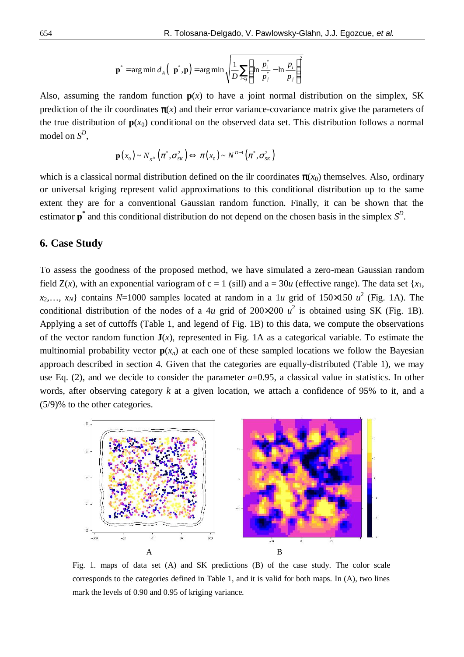$$
\mathbf{p}^* = \arg\min d_A \left( \mathbf{p}^*, \mathbf{p} \right) = \arg\min \sqrt{\frac{1}{D} \sum_{i < j} \left( \ln \frac{p_i^*}{p_j^*} - \ln \frac{p_i}{p_j} \right)^2}
$$

Also, assuming the random function  $p(x)$  to have a joint normal distribution on the simplex, SK prediction of the ilr coordinates  $\pi(x)$  and their error variance-covariance matrix give the parameters of the true distribution of  $p(x_0)$  conditional on the observed data set. This distribution follows a normal model on  $S^D$ ,

$$
\mathbf{p}(x_0) \sim N_{S^D}\left(\pi^*, \sigma_{SK}^2\right) \Longleftrightarrow \pi(x_0) \sim N^{D-1}\left(\pi^*, \sigma_{SK}^2\right)
$$

which is a classical normal distribution defined on the ilr coordinates  $\pi(x_0)$  themselves. Also, ordinary or universal kriging represent valid approximations to this conditional distribution up to the same extent they are for a conventional Gaussian random function. Finally, it can be shown that the estimator  $\mathbf{p}^*$  and this conditional distribution do not depend on the chosen basis in the simplex  $S^D$ .

#### **6. Case Study**

To assess the goodness of the proposed method, we have simulated a zero-mean Gaussian random field  $Z(x)$ , with an exponential variogram of  $c = 1$  (sill) and  $a = 30u$  (effective range). The data set  $\{x_1,$  $x_2,..., x_N$ } contains *N*=1000 samples located at random in a 1*u* grid of 150×150 *u*<sup>2</sup> (Fig. 1A). The conditional distribution of the nodes of a 4*u* grid of 200×200  $u^2$  is obtained using SK (Fig. 1B). Applying a set of cuttoffs (Table 1, and legend of Fig. 1B) to this data, we compute the observations of the vector random function  $J(x)$ , represented in Fig. 1A as a categorical variable. To estimate the multinomial probability vector  $p(x_n)$  at each one of these sampled locations we follow the Bayesian approach described in section 4. Given that the categories are equally-distributed (Table 1), we may use Eq.  $(2)$ , and we decide to consider the parameter  $a=0.95$ , a classical value in statistics. In other words, after observing category *k* at a given location, we attach a confidence of 95% to it, and a (5/9)% to the other categories.



Fig. 1. maps of data set (A) and SK predictions (B) of the case study. The color scale corresponds to the categories defined in Table 1, and it is valid for both maps. In (A), two lines mark the levels of 0.90 and 0.95 of kriging variance.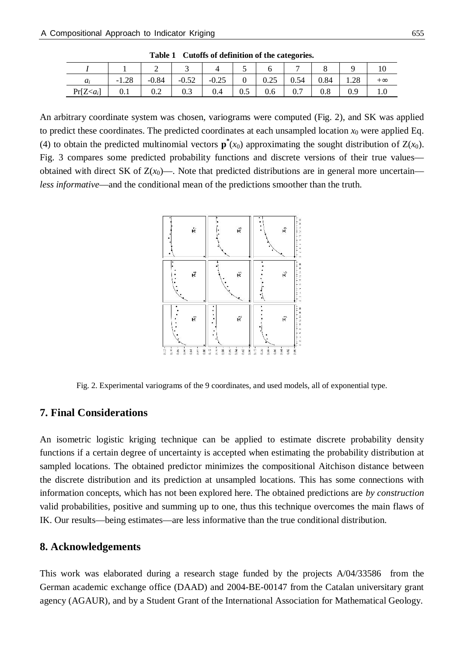| $a_i$  | $-1.28$ | $-0.84$ | $-0.52$ | $-0.25$ | $\mathbf{0}$ | 0.25    | 0.54 | 0.84 | 1.28 | $+\infty$ |
|--------|---------|---------|---------|---------|--------------|---------|------|------|------|-----------|
| $Pr[Z$ | 0.1     | 0.2     | 0.3     | 0.4     | 0.5          | $0.6\,$ | 0.7  | 0.8  | 0.9  | 1.0       |

**Table 1 Cutoffs of definition of the categories.**

An arbitrary coordinate system was chosen, variograms were computed (Fig. 2), and SK was applied to predict these coordinates. The predicted coordinates at each unsampled location  $x_0$  were applied Eq. (4) to obtain the predicted multinomial vectors  $\mathbf{p}^*(x_0)$  approximating the sought distribution of  $Z(x_0)$ . Fig. 3 compares some predicted probability functions and discrete versions of their true values obtained with direct SK of  $Z(x_0)$ —. Note that predicted distributions are in general more uncertain *less informative*—and the conditional mean of the predictions smoother than the truth.



Fig. 2. Experimental variograms of the 9 coordinates, and used models, all of exponential type.

### **7. Final Considerations**

An isometric logistic kriging technique can be applied to estimate discrete probability density functions if a certain degree of uncertainty is accepted when estimating the probability distribution at sampled locations. The obtained predictor minimizes the compositional Aitchison distance between the discrete distribution and its prediction at unsampled locations. This has some connections with information concepts, which has not been explored here. The obtained predictions are *by construction* valid probabilities, positive and summing up to one, thus this technique overcomes the main flaws of IK. Our results—being estimates—are less informative than the true conditional distribution.

#### **8. Acknowledgements**

This work was elaborated during a research stage funded by the projects A/04/33586 from the German academic exchange office (DAAD) and 2004-BE-00147 from the Catalan universitary grant agency (AGAUR), and by a Student Grant of the International Association for Mathematical Geology.